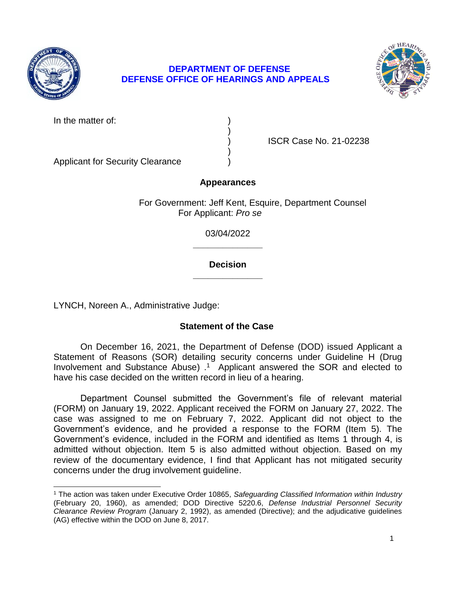

l

# **DEPARTMENT OF DEFENSE DEFENSE OFFICE OF HEARINGS AND APPEALS**



In the matter of:

) ISCR Case No. 21-02238

Applicant for Security Clearance )

# **Appearances**

)

)

For Government: Jeff Kent, Esquire, Department Counsel For Applicant: *Pro se* 

> **\_\_\_\_\_\_\_\_\_\_\_\_\_\_**  03/04/2022

### **\_\_\_\_\_\_\_\_\_\_\_\_\_\_ Decision**

LYNCH, Noreen A., Administrative Judge:

# **Statement of the Case**

 Statement of Reasons (SOR) detailing security concerns under Guideline H (Drug Involvement and Substance Abuse) . 1 Applicant answered the SOR and elected to On December 16, 2021, the Department of Defense (DOD) issued Applicant a have his case decided on the written record in lieu of a hearing.

 Department Counsel submitted the Government's file of relevant material (FORM) on January 19, 2022. Applicant received the FORM on January 27, 2022. The case was assigned to me on February 7, 2022. Applicant did not object to the Government's evidence, and he provided a response to the FORM (Item 5). The Government's evidence, included in the FORM and identified as Items 1 through 4, is admitted without objection. Item 5 is also admitted without objection. Based on my review of the documentary evidence, I find that Applicant has not mitigated security concerns under the drug involvement guideline.

 1 The action was taken under Executive Order 10865, *Safeguarding Classified Information within Industry*  (February 20, 1960), as amended; DOD Directive 5220.6, *Defense Industrial Personnel Security Clearance Review Program* (January 2, 1992), as amended (Directive); and the adjudicative guidelines (AG) effective within the DOD on June 8, 2017.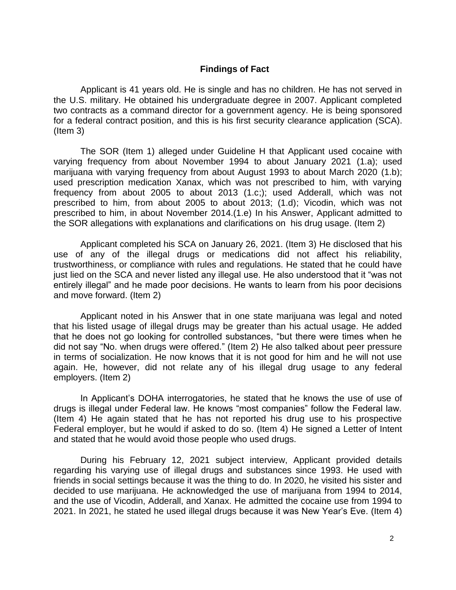### **Findings of Fact**

 Applicant is 41 years old. He is single and has no children. He has not served in the U.S. military. He obtained his undergraduate degree in 2007. Applicant completed two contracts as a command director for a government agency. He is being sponsored for a federal contract position, and this is his first security clearance application (SCA). (Item 3)

 The SOR (Item 1) alleged under Guideline H that Applicant used cocaine with varying frequency from about November 1994 to about January 2021 (1.a); used marijuana with varying frequency from about August 1993 to about March 2020 (1.b); used prescription medication Xanax, which was not prescribed to him, with varying frequency from about 2005 to about 2013 (1.c;); used Adderall, which was not prescribed to him, from about 2005 to about 2013; (1.d); Vicodin, which was not prescribed to him, in about November 2014.(1.e) In his Answer, Applicant admitted to the SOR allegations with explanations and clarifications on his drug usage. (Item 2)

 Applicant completed his SCA on January 26, 2021. (Item 3) He disclosed that his use of any of the illegal drugs or medications did not affect his reliability, trustworthiness, or compliance with rules and regulations. He stated that he could have just lied on the SCA and never listed any illegal use. He also understood that it "was not entirely illegal" and he made poor decisions. He wants to learn from his poor decisions and move forward. (Item 2)

 Applicant noted in his Answer that in one state marijuana was legal and noted that his listed usage of illegal drugs may be greater than his actual usage. He added that he does not go looking for controlled substances, "but there were times when he did not say "No. when drugs were offered." (Item 2) He also talked about peer pressure in terms of socialization. He now knows that it is not good for him and he will not use again. He, however, did not relate any of his illegal drug usage to any federal employers. (Item 2)

 In Applicant's DOHA interrogatories, he stated that he knows the use of use of drugs is illegal under Federal law. He knows "most companies" follow the Federal law. (Item 4) He again stated that he has not reported his drug use to his prospective Federal employer, but he would if asked to do so. (Item 4) He signed a Letter of Intent and stated that he would avoid those people who used drugs.

 During his February 12, 2021 subject interview, Applicant provided details regarding his varying use of illegal drugs and substances since 1993. He used with decided to use marijuana. He acknowledged the use of marijuana from 1994 to 2014, and the use of Vicodin, Adderall, and Xanax. He admitted the cocaine use from 1994 to 2021. In 2021, he stated he used illegal drugs because it was New Year's Eve. (Item 4) friends in social settings because it was the thing to do. In 2020, he visited his sister and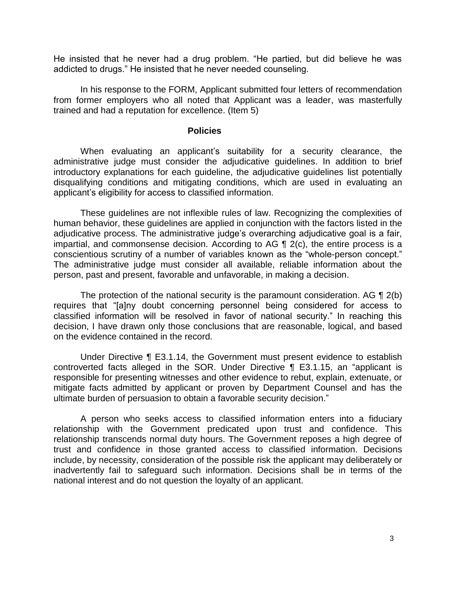He insisted that he never had a drug problem. "He partied, but did believe he was addicted to drugs." He insisted that he never needed counseling.

 from former employers who all noted that Applicant was a leader, was masterfully trained and had a reputation for excellence. (Item 5) In his response to the FORM, Applicant submitted four letters of recommendation

#### **Policies**

 administrative judge must consider the adjudicative guidelines. In addition to brief introductory explanations for each guideline, the adjudicative guidelines list potentially disqualifying conditions and mitigating conditions, which are used in evaluating an When evaluating an applicant's suitability for a security clearance, the applicant's eligibility for access to classified information.

 These guidelines are not inflexible rules of law. Recognizing the complexities of human behavior, these guidelines are applied in conjunction with the factors listed in the adjudicative process. The administrative judge's overarching adjudicative goal is a fair, impartial, and commonsense decision. According to AG ¶ 2(c), the entire process is a conscientious scrutiny of a number of variables known as the "whole-person concept." The administrative judge must consider all available, reliable information about the person, past and present, favorable and unfavorable, in making a decision.

The protection of the national security is the paramount consideration. AG  $\P$  2(b) classified information will be resolved in favor of national security." In reaching this decision, I have drawn only those conclusions that are reasonable, logical, and based requires that "[a]ny doubt concerning personnel being considered for access to on the evidence contained in the record.

 Under Directive ¶ E3.1.14, the Government must present evidence to establish controverted facts alleged in the SOR. Under Directive ¶ E3.1.15, an "applicant is responsible for presenting witnesses and other evidence to rebut, explain, extenuate, or mitigate facts admitted by applicant or proven by Department Counsel and has the ultimate burden of persuasion to obtain a favorable security decision."

 A person who seeks access to classified information enters into a fiduciary relationship with the Government predicated upon trust and confidence. This relationship transcends normal duty hours. The Government reposes a high degree of trust and confidence in those granted access to classified information. Decisions inadvertently fail to safeguard such information. Decisions shall be in terms of the national interest and do not question the loyalty of an applicant. include, by necessity, consideration of the possible risk the applicant may deliberately or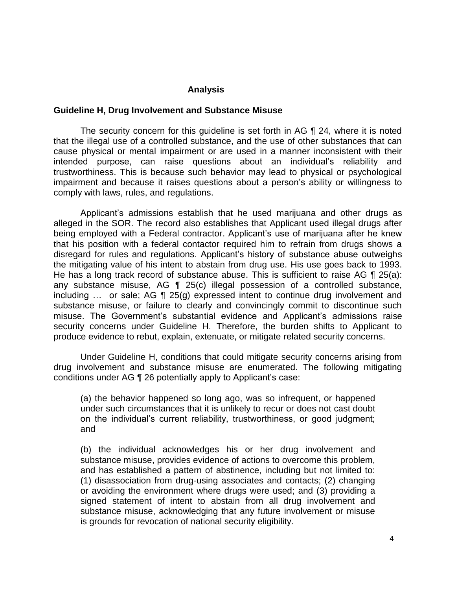### **Analysis**

#### **Guideline H, Drug Involvement and Substance Misuse**

 The security concern for this guideline is set forth in AG ¶ 24, where it is noted that the illegal use of a controlled substance, and the use of other substances that can cause physical or mental impairment or are used in a manner inconsistent with their intended purpose, can raise questions about an individual's reliability and trustworthiness. This is because such behavior may lead to physical or psychological impairment and because it raises questions about a person's ability or willingness to comply with laws, rules, and regulations.

 alleged in the SOR. The record also establishes that Applicant used illegal drugs after being employed with a Federal contractor. Applicant's use of marijuana after he knew that his position with a federal contactor required him to refrain from drugs shows a disregard for rules and regulations. Applicant's history of substance abuse outweighs the mitigating value of his intent to abstain from drug use. His use goes back to 1993. He has a long track record of substance abuse. This is sufficient to raise AG  $\P$  25(a): any substance misuse, AG ¶ 25(c) illegal possession of a controlled substance, including … or sale; AG ¶ 25(g) expressed intent to continue drug involvement and substance misuse, or failure to clearly and convincingly commit to discontinue such security concerns under Guideline H. Therefore, the burden shifts to Applicant to Applicant's admissions establish that he used marijuana and other drugs as misuse. The Government's substantial evidence and Applicant's admissions raise produce evidence to rebut, explain, extenuate, or mitigate related security concerns.

 Under Guideline H, conditions that could mitigate security concerns arising from drug involvement and substance misuse are enumerated. The following mitigating conditions under AG ¶ 26 potentially apply to Applicant's case:

(a) the behavior happened so long ago, was so infrequent, or happened under such circumstances that it is unlikely to recur or does not cast doubt on the individual's current reliability, trustworthiness, or good judgment; and

(b) the individual acknowledges his or her drug involvement and substance misuse, provides evidence of actions to overcome this problem, and has established a pattern of abstinence, including but not limited to: (1) disassociation from drug-using associates and contacts; (2) changing or avoiding the environment where drugs were used; and (3) providing a signed statement of intent to abstain from all drug involvement and substance misuse, acknowledging that any future involvement or misuse is grounds for revocation of national security eligibility.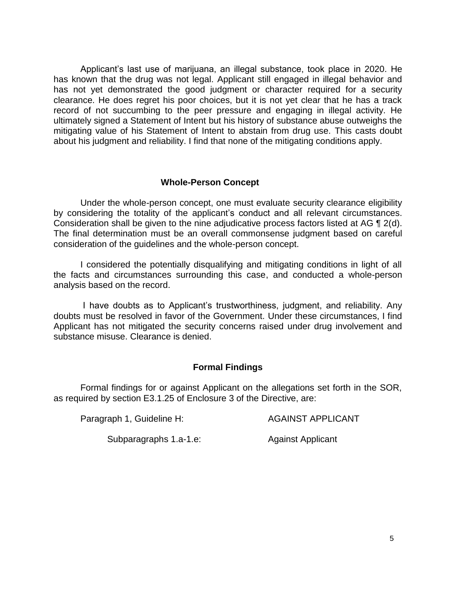Applicant's last use of marijuana, an illegal substance, took place in 2020. He has known that the drug was not legal. Applicant still engaged in illegal behavior and has not yet demonstrated the good judgment or character required for a security clearance. He does regret his poor choices, but it is not yet clear that he has a track record of not succumbing to the peer pressure and engaging in illegal activity. He ultimately signed a Statement of Intent but his history of substance abuse outweighs the mitigating value of his Statement of Intent to abstain from drug use. This casts doubt about his judgment and reliability. I find that none of the mitigating conditions apply.

### **Whole-Person Concept**

 Under the whole-person concept, one must evaluate security clearance eligibility by considering the totality of the applicant's conduct and all relevant circumstances. Consideration shall be given to the nine adjudicative process factors listed at AG ¶ 2(d). The final determination must be an overall commonsense judgment based on careful consideration of the guidelines and the whole-person concept.

 I considered the potentially disqualifying and mitigating conditions in light of all the facts and circumstances surrounding this case, and conducted a whole-person analysis based on the record.

 I have doubts as to Applicant's trustworthiness, judgment, and reliability. Any doubts must be resolved in favor of the Government. Under these circumstances, I find Applicant has not mitigated the security concerns raised under drug involvement and substance misuse. Clearance is denied.

### **Formal Findings**

 Formal findings for or against Applicant on the allegations set forth in the SOR, as required by section E3.1.25 of Enclosure 3 of the Directive, are:

Paragraph 1, Guideline H: AGAINST APPLICANT

Subparagraphs 1.a-1.e: Against Applicant